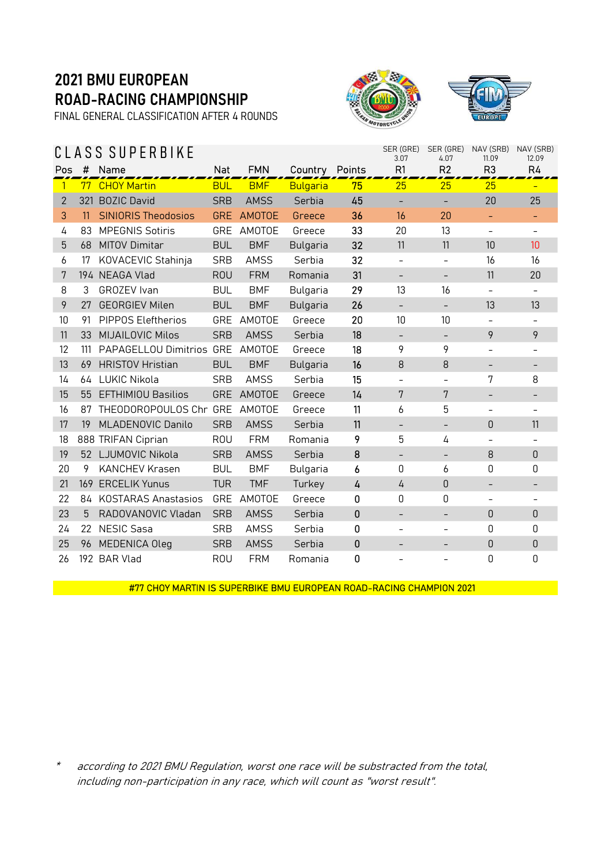FINAL GENERAL CLASSIFICATION AFTER 4 ROUNDS

### C L A S S S U P E R B I K E





| SER (GRE)<br>SER (GRE)<br>NAV (SRB)<br>S SUPERBIKE<br>S<br>3.07<br>4.07<br>11.09 |     |                                 |            |             |                 |                |                          |                          |                          | NAV (SRB)<br>12.09       |
|----------------------------------------------------------------------------------|-----|---------------------------------|------------|-------------|-----------------|----------------|--------------------------|--------------------------|--------------------------|--------------------------|
| Pos                                                                              | #   | Name                            | Nat        | <b>FMN</b>  | Country Points  |                | R1                       | R <sub>2</sub>           | R <sub>3</sub>           | R4                       |
| 1                                                                                |     | 77 CHOY Martin                  | <b>BUL</b> | <b>BMF</b>  | <b>Bulgaria</b> | 75             | 25                       | 25                       | 25                       |                          |
| $\overline{2}$                                                                   |     | 321 BOZIC David                 | <b>SRB</b> | <b>AMSS</b> | Serbia          | 45             |                          |                          | 20                       | 25                       |
| 3                                                                                | 11  | <b>SINIORIS Theodosios</b>      | <b>GRE</b> | AMOTOE      | Greece          | 36             | 16                       | 20                       | ÷                        | -                        |
| 4                                                                                | 83  | <b>MPEGNIS Sotiris</b>          |            | GRE AMOTOE  | Greece          | 33             | 20                       | 13                       | $\overline{\phantom{a}}$ | $\overline{\phantom{0}}$ |
| 5                                                                                | 68  | <b>MITOV Dimitar</b>            | <b>BUL</b> | <b>BMF</b>  | <b>Bulgaria</b> | 32             | 11                       | 11                       | 10                       | 10                       |
| 6                                                                                | 17  | KOVACEVIC Stahinja              | <b>SRB</b> | <b>AMSS</b> | Serbia          | 32             | $\overline{\phantom{a}}$ | $\overline{\phantom{a}}$ | 16                       | 16                       |
| 7                                                                                |     | 194 NEAGA Vlad                  | <b>ROU</b> | <b>FRM</b>  | Romania         | 31             | $\overline{\phantom{a}}$ | -                        | 11                       | 20                       |
| 8                                                                                | 3   | GROZEV Ivan                     | <b>BUL</b> | <b>BMF</b>  | <b>Bulgaria</b> | 29             | 13                       | 16                       | $\overline{\phantom{a}}$ | $\overline{\phantom{0}}$ |
| 9                                                                                | 27  | <b>GEORGIEV Milen</b>           | <b>BUL</b> | <b>BMF</b>  | <b>Bulgaria</b> | 26             | $\qquad \qquad -$        | $\qquad \qquad -$        | 13                       | 13                       |
| 10                                                                               | 91  | PIPPOS Eleftherios              | GRE        | AMOTOE      | Greece          | 20             | 10                       | 10                       |                          |                          |
| 11                                                                               | 33  | <b>MIJAILOVIC Milos</b>         | <b>SRB</b> | <b>AMSS</b> | Serbia          | 18             | $\overline{\phantom{a}}$ | $\overline{\phantom{a}}$ | 9                        | 9                        |
| 12                                                                               | 111 | PAPAGELLOU Dimitrios GRE AMOTOE |            |             | Greece          | 18             | 9                        | 9                        | $\overline{\phantom{m}}$ | $\overline{\phantom{0}}$ |
| 13                                                                               | 69  | <b>HRISTOV Hristian</b>         | <b>BUL</b> | <b>BMF</b>  | <b>Bulgaria</b> | 16             | 8                        | 8                        | $\overline{\phantom{a}}$ | $\overline{\phantom{a}}$ |
| 14                                                                               |     | 64 LUKIC Nikola                 | <b>SRB</b> | <b>AMSS</b> | Serbia          | 15             | $\overline{\phantom{a}}$ | $\overline{\phantom{a}}$ | 7                        | 8                        |
| 15                                                                               | 55  | <b>EFTHIMIOU Basilios</b>       |            | GRE AMOTOE  | Greece          | 14             | 7                        | 7                        |                          |                          |
| 16                                                                               | 87  | THEODOROPOULOS Chr GRE AMOTOE   |            |             | Greece          | 11             | 6                        | 5                        |                          | Ξ.                       |
| 17                                                                               | 19  | MLADENOVIC Danilo               | <b>SRB</b> | <b>AMSS</b> | Serbia          | 11             | $\overline{\phantom{a}}$ | $\qquad \qquad -$        | 0                        | 11                       |
| 18                                                                               |     | 888 TRIFAN Ciprian              | <b>ROU</b> | <b>FRM</b>  | Romania         | 9              | 5                        | 4                        |                          |                          |
| 19                                                                               |     | 52 LJUMOVIC Nikola              | <b>SRB</b> | <b>AMSS</b> | Serbia          | 8              | $\overline{\phantom{a}}$ | $\overline{\phantom{a}}$ | 8                        | $\Omega$                 |
| 20                                                                               | 9   | <b>KANCHEV Krasen</b>           | <b>BUL</b> | <b>BMF</b>  | Bulgaria        | 6              | 0                        | 6                        | 0                        | 0                        |
| 21                                                                               | 169 | <b>ERCELIK Yunus</b>            | <b>TUR</b> | <b>TMF</b>  | Turkey          | $\overline{4}$ | 4                        | $\mathbf 0$              |                          | -                        |
| 22                                                                               | 84  | <b>KOSTARAS Anastasios</b>      | GRE        | AMOTOE      | Greece          | 0              | 0                        | $\mathsf 0$              | $\overline{\phantom{a}}$ | $\overline{\phantom{0}}$ |
| 23                                                                               | 5   | RADOVANOVIC Vladan              | <b>SRB</b> | <b>AMSS</b> | Serbia          | $\mathbf 0$    | $\overline{\phantom{a}}$ | $\qquad \qquad -$        | 0                        | $\theta$                 |
| 24                                                                               | 22  | <b>NESIC Sasa</b>               | <b>SRB</b> | <b>AMSS</b> | Serbia          | 0              | $\qquad \qquad -$        |                          | 0                        | 0                        |
| 25                                                                               | 96  | <b>MEDENICA Oleg</b>            | <b>SRB</b> | <b>AMSS</b> | Serbia          | $\mathbf 0$    | $\overline{\phantom{a}}$ |                          | 0                        | $\theta$                 |
| 26                                                                               |     | 192 BAR Vlad                    | <b>ROU</b> | <b>FRM</b>  | Romania         | 0              |                          |                          | 0                        | $\mathbf 0$              |

#77 CHOY MARTIN IS SUPERBIKE BMU EUROPEAN ROAD-RACING CHAMPION 2021

\* according to 2021 BMU Regulation, worst one race will be substracted from the total, including non-participation in any race, which will count as "worst result".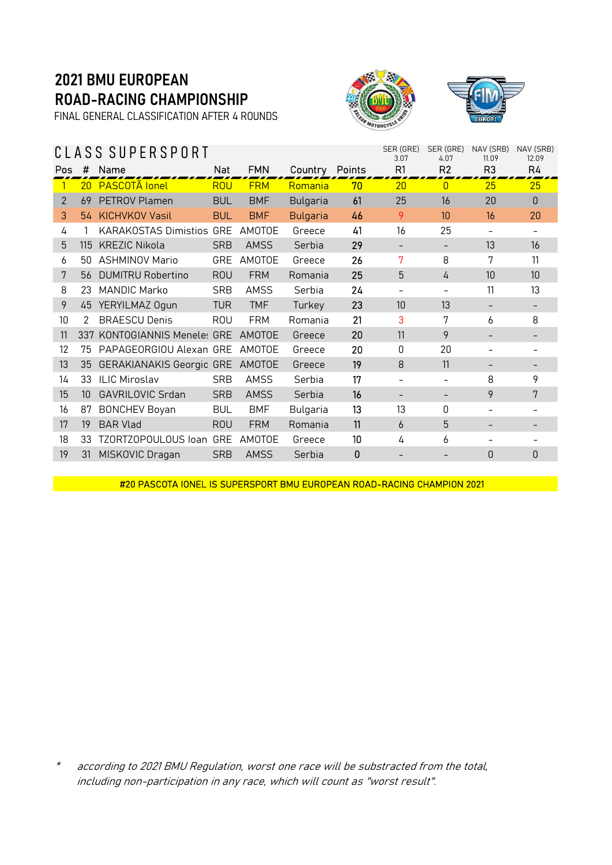FINAL GENERAL CLASSIFICATION AFTER 4 ROUNDS





|     |                 | CLASS SUPERSPORT                |            |             |                 | SER (GRE)<br>3.07 | SER (GRE)<br>4.07 | NAV (SRB)<br>11.09 | NAV (SRB)<br>12.09 |          |
|-----|-----------------|---------------------------------|------------|-------------|-----------------|-------------------|-------------------|--------------------|--------------------|----------|
| Pos | #               | Name                            | Nat        | <b>FMN</b>  | Country Points  |                   | R1                | R <sub>2</sub>     | R <sub>3</sub>     | R4       |
|     | 20              | <b>PASCOTĂ</b> lonel            | <b>ROU</b> | <b>FRM</b>  | Romania         | 70                | 20                | $\mathbf{0}$       | 25                 | 25       |
| 2   | 69              | PETROV Plamen                   | <b>BUL</b> | <b>BMF</b>  | <b>Bulgaria</b> | 61                | 25                | 16                 | 20                 | $\theta$ |
| 3   |                 | 54 KICHVKOV Vasil               | <b>BUL</b> | <b>BMF</b>  | <b>Bulgaria</b> | 46                | 9                 | 10                 | 16                 | 20       |
| 4   |                 | <b>KARAKOSTAS Dimistios GRE</b> |            | AMOTOE      | Greece          | 41                | 16                | 25                 |                    |          |
| 5   | 115             | <b>KREZIC Nikola</b>            | <b>SRB</b> | <b>AMSS</b> | Serbia          | 29                | -                 | -                  | 13                 | 16       |
| 6   | 50              | <b>ASHMINOV Mario</b>           | GRE        | AMOTOE      | Greece          | 26                | 7                 | 8                  | 7                  | 11       |
| 7   |                 | 56 DUMITRU Robertino            | <b>ROU</b> | <b>FRM</b>  | Romania         | 25                | 5                 | 4                  | 10                 | 10       |
| 8   | 23              | <b>MANDIC Marko</b>             | <b>SRB</b> | AMSS        | Serbia          | 24                |                   |                    | 11                 | 13       |
| 9   |                 | 45 YERYILMAZ Ogun               | <b>TUR</b> | <b>TMF</b>  | Turkey          | 23                | 10                | 13                 |                    |          |
| 10  | 2               | <b>BRAESCU Denis</b>            | <b>ROU</b> | <b>FRM</b>  | Romania         | 21                | 3                 | 7                  | 6                  | 8        |
| 11  | 337             | KONTOGIANNIS Meneles GRE        |            | AMOTOE      | Greece          | 20                | 11                | 9                  |                    |          |
| 12  | 75              | PAPAGEORGIOU Alexan GRE         |            | AMOTOF      | Greece          | 20                | $\Omega$          | 20                 |                    |          |
| 13  | 35              | GERAKIANAKIS Georgio GRE AMOTOE |            |             | Greece          | 19                | 8                 | 11                 |                    |          |
| 14  | 33              | <b>ILIC Miroslav</b>            | <b>SRB</b> | AMSS        | Serbia          | 17                |                   |                    | 8                  | 9        |
| 15  | 10 <sup>°</sup> | <b>GAVRILOVIC Srdan</b>         | <b>SRB</b> | <b>AMSS</b> | Serbia          | 16                | -                 | -                  | 9                  | 7        |
| 16  | 87              | <b>BONCHEV Boyan</b>            | <b>BUL</b> | <b>BMF</b>  | Bulgaria        | 13                | 13                | 0                  |                    |          |
| 17  | 19              | <b>BAR Vlad</b>                 | <b>ROU</b> | <b>FRM</b>  | Romania         | 11                | 6                 | 5                  |                    |          |
| 18  | 33              | TZORTZOPOULOUS loan             | GRE        | AMOTOE      | Greece          | 10                | 4                 | 6                  |                    |          |
| 19  |                 | 31 MISKOVIC Dragan              | <b>SRB</b> | <b>AMSS</b> | Serbia          | $\mathbf{0}$      |                   |                    | 0                  | 0        |
|     |                 |                                 |            |             |                 |                   |                   |                    |                    |          |

#20 PASCOTA IONEL IS SUPERSPORT BMU EUROPEAN ROAD-RACING CHAMPION 2021

according to 2021 BMU Regulation, worst one race will be substracted from the total, including non-participation in any race, which will count as "worst result".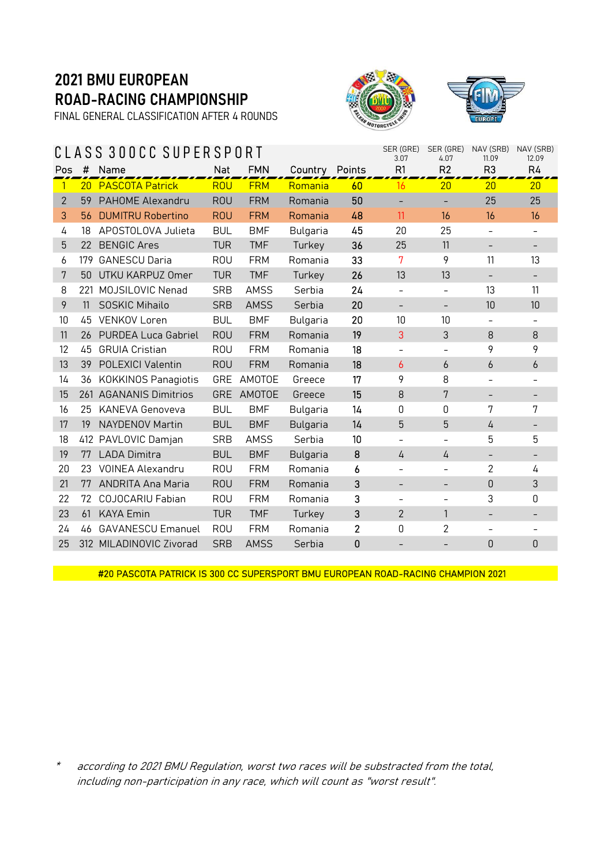FINAL GENERAL CLASSIFICATION AFTER 4 ROUNDS





|          |                          |                                                                                                                                                                 |             |                               | SER (GRE)      | SER (GRE)<br>4.07        | NAV (SRB)<br>11.09       | NAV (SRB)<br>12.09       |                          |
|----------|--------------------------|-----------------------------------------------------------------------------------------------------------------------------------------------------------------|-------------|-------------------------------|----------------|--------------------------|--------------------------|--------------------------|--------------------------|
| $\sharp$ | Name                     | <b>Nat</b>                                                                                                                                                      | <b>FMN</b>  |                               |                | R1                       | R <sub>2</sub>           | R <sub>3</sub>           | R4                       |
|          |                          | <b>ROU</b>                                                                                                                                                      | <b>FRM</b>  | Romania                       | 60             | 16                       | 20                       | 20                       | 20                       |
| 59       | PAHOME Alexandru         | <b>ROU</b>                                                                                                                                                      | <b>FRM</b>  | Romania                       | 50             |                          |                          | 25                       | 25                       |
|          | <b>DUMITRU Robertino</b> | <b>ROU</b>                                                                                                                                                      | <b>FRM</b>  | Romania                       | 48             | 11                       | 16                       | 16                       | 16                       |
| 18       | APOSTOLOVA Julieta       | <b>BUL</b>                                                                                                                                                      | <b>BMF</b>  | Bulgaria                      | 45             | 20                       | 25                       |                          |                          |
| 22       | <b>BENGIC Ares</b>       | <b>TUR</b>                                                                                                                                                      | <b>TMF</b>  | Turkey                        | 36             | 25                       | 11                       | $\overline{\phantom{a}}$ | $\overline{\phantom{a}}$ |
| 179      | <b>GANESCU Daria</b>     | <b>ROU</b>                                                                                                                                                      | <b>FRM</b>  | Romania                       | 33             | 7                        | 9                        | 11                       | 13                       |
| 50       | UTKU KARPUZ Omer         | <b>TUR</b>                                                                                                                                                      | <b>TMF</b>  | Turkey                        | 26             | 13                       | 13                       |                          |                          |
| 221      | MOJSILOVIC Nenad         | <b>SRB</b>                                                                                                                                                      | <b>AMSS</b> | Serbia                        | 24             | $\equiv$                 |                          | 13                       | 11                       |
| 11       | SOSKIC Mihailo           | <b>SRB</b>                                                                                                                                                      | <b>AMSS</b> | Serbia                        | 20             | $\qquad \qquad -$        | $\overline{\phantom{a}}$ | 10                       | 10                       |
| 45       | <b>VENKOV Loren</b>      | <b>BUL</b>                                                                                                                                                      | <b>BMF</b>  | Bulgaria                      | 20             | 10                       | 10                       |                          |                          |
|          |                          | <b>ROU</b>                                                                                                                                                      | <b>FRM</b>  | Romania                       | 19             | 3                        | 3                        | 8                        | 8                        |
| 45       | <b>GRUIA Cristian</b>    | <b>ROU</b>                                                                                                                                                      | <b>FRM</b>  | Romania                       | 18             | $\overline{\phantom{a}}$ |                          | 9                        | 9                        |
| 39       | POLEXICI Valentin        | <b>ROU</b>                                                                                                                                                      | <b>FRM</b>  | Romania                       | 18             | 6                        | $\boldsymbol{6}$         | 6                        | $\boldsymbol{6}$         |
|          |                          |                                                                                                                                                                 | AMOTOE      | Greece                        | 17             | 9                        | 8                        |                          |                          |
|          |                          | <b>GRE</b>                                                                                                                                                      | AMOTOE      | Greece                        | 15             | 8                        | 7                        |                          | $\overline{\phantom{a}}$ |
| 25       | KANEVA Genoveva          | <b>BUL</b>                                                                                                                                                      | <b>BMF</b>  | <b>Bulgaria</b>               | 14             | 0                        | 0                        | 7                        | 7                        |
| 19       | <b>NAYDENOV Martin</b>   | <b>BUL</b>                                                                                                                                                      | <b>BMF</b>  | <b>Bulgaria</b>               | 14             | 5                        | 5                        | 4                        |                          |
|          |                          | <b>SRB</b>                                                                                                                                                      | <b>AMSS</b> | Serbia                        | 10             |                          |                          | 5                        | 5                        |
| 77       | <b>LADA Dimitra</b>      | <b>BUL</b>                                                                                                                                                      | <b>BMF</b>  | <b>Bulgaria</b>               | 8              | 4                        | 4                        |                          |                          |
|          | <b>VOINEA Alexandru</b>  | <b>ROU</b>                                                                                                                                                      | <b>FRM</b>  | Romania                       | 6              |                          |                          | 2                        | 4                        |
| 77       | <b>ANDRITA Ana Maria</b> | <b>ROU</b>                                                                                                                                                      | <b>FRM</b>  | Romania                       | 3              | $\overline{\phantom{a}}$ | -                        | $\mathbf 0$              | $\sqrt{3}$               |
| 72       | <b>COJOCARIU Fabian</b>  | <b>ROU</b>                                                                                                                                                      | <b>FRM</b>  | Romania                       | 3              | $\qquad \qquad -$        | $\overline{\phantom{0}}$ | 3                        | 0                        |
| 61       | <b>KAYA Emin</b>         | <b>TUR</b>                                                                                                                                                      | <b>TMF</b>  | Turkey                        | 3              | $\overline{2}$           | 1                        |                          |                          |
| 46       | <b>GAVANESCU Emanuel</b> | <b>ROU</b>                                                                                                                                                      | <b>FRM</b>  | Romania                       | $\overline{2}$ | 0                        | 2                        |                          |                          |
|          |                          | <b>SRB</b>                                                                                                                                                      | <b>AMSS</b> | Serbia                        | $\mathbf{0}$   |                          |                          | 0                        | $\mathsf 0$              |
|          |                          | 20 PASCOTA Patrick<br>56.<br>26 PURDEA Luca Gabriel<br>36 KOKKINOS Panagiotis<br>261 AGANANIS Dimitrios<br>412 PAVLOVIC Damjan<br>23<br>312 MILADINOVIC Zivorad |             | CLASS 300CC SUPERSPORT<br>GRE |                | Country Points           | 3.07                     |                          |                          |

#20 PASCOTA PATRICK IS 300 CC SUPERSPORT BMU EUROPEAN ROAD-RACING CHAMPION 2021

\* according to 2021 BMU Regulation, worst two races will be substracted from the total, including non-participation in any race, which will count as "worst result".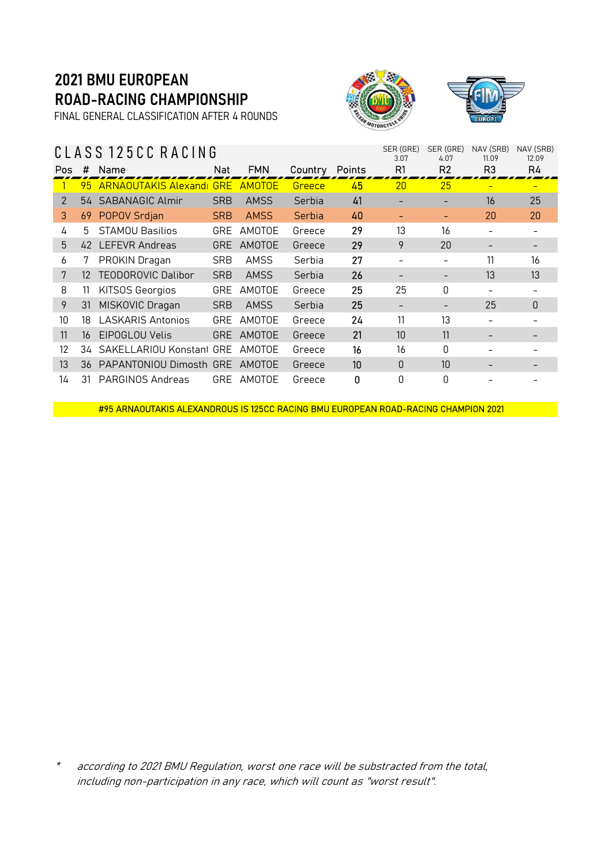FINAL GENERAL CLASSIFICATION AFTER 4 ROUNDS

### C L A S S 1 2 5 C C R A C I N G





|            | SER (GRE)<br>SER (GRE)<br>NAV (SRB)<br>NAV (SRB)<br>CLASS 125CC RACING<br>3.07<br>4.07<br>12.09<br>11.09 |                                   |            |               |         |               |    |                |                |                  |  |
|------------|----------------------------------------------------------------------------------------------------------|-----------------------------------|------------|---------------|---------|---------------|----|----------------|----------------|------------------|--|
| <b>Pos</b> | #                                                                                                        | Name                              | Nat        | <b>FMN</b>    | Country | <b>Points</b> | R1 | R <sub>2</sub> | R <sub>3</sub> | R4               |  |
|            | 95.                                                                                                      | <b>ARNAOUTAKIS Alexandi GRE</b>   |            | <b>AMOTOF</b> | Greece  | 45            | 20 | 25             |                |                  |  |
| 2          |                                                                                                          | 54 SABANAGIC Almir                | <b>SRB</b> | <b>AMSS</b>   | Serbia  | 41            |    |                | 16             | 25               |  |
| 3          | 69                                                                                                       | POPOV Srdjan                      | <b>SRB</b> | <b>AMSS</b>   | Serbia  | 40            |    |                | 20             | 20               |  |
| 4          | 5.                                                                                                       | <b>STAMOU Basilios</b>            | <b>GRE</b> | AMOTOE        | Greece  | 29            | 13 | 16             |                |                  |  |
| 5          |                                                                                                          | 42 LEFEVR Andreas                 | <b>GRE</b> | AMOTOE        | Greece  | 29            | 9  | 20             |                |                  |  |
| 6          | 7                                                                                                        | PROKIN Dragan                     | <b>SRB</b> | AMSS          | Serbia  | 27            |    |                | 11             | 16               |  |
| 7          | 12                                                                                                       | TEODOROVIC Dalibor                | <b>SRB</b> | <b>AMSS</b>   | Serbia  | 26            |    |                | 13             | 13               |  |
| 8          | 11                                                                                                       | <b>KITSOS Georgios</b>            | GRE        | AMOTOE        | Greece  | 25            | 25 | 0              |                |                  |  |
| 9          | 31                                                                                                       | MISKOVIC Dragan                   | <b>SRB</b> | <b>AMSS</b>   | Serbia  | 25            |    |                | 25             | $\boldsymbol{0}$ |  |
| 10         | 18                                                                                                       | <b>LASKARIS Antonios</b>          | <b>GRE</b> | AMOTOE        | Greece  | 24            | 11 | 13             |                |                  |  |
| 11         | 16                                                                                                       | EIPOGLOU Velis                    | <b>GRE</b> | AMOTOE        | Greece  | 21            | 10 | 11             |                |                  |  |
| 12         | 34                                                                                                       | SAKELLARIOU Konstant GRE          |            | AMOTOE        | Greece  | 16            | 16 | 0              |                |                  |  |
| 13         |                                                                                                          | 36 PAPANTONIOU Dimosth GRE AMOTOE |            |               | Greece  | 10            | 0  | 10             |                |                  |  |
| 14         | 31                                                                                                       | PARGINOS Andreas                  | <b>GRE</b> | AMOTOE        | Greece  | 0             | 0  | 0              |                |                  |  |

#95 ARNAOUTAKIS ALEXANDROUS IS 125CC RACING BMU EUROPEAN ROAD-RACING CHAMPION 2021

according to 2021 BMU Regulation, worst one race will be substracted from the total, including non-participation in any race, which will count as "worst result".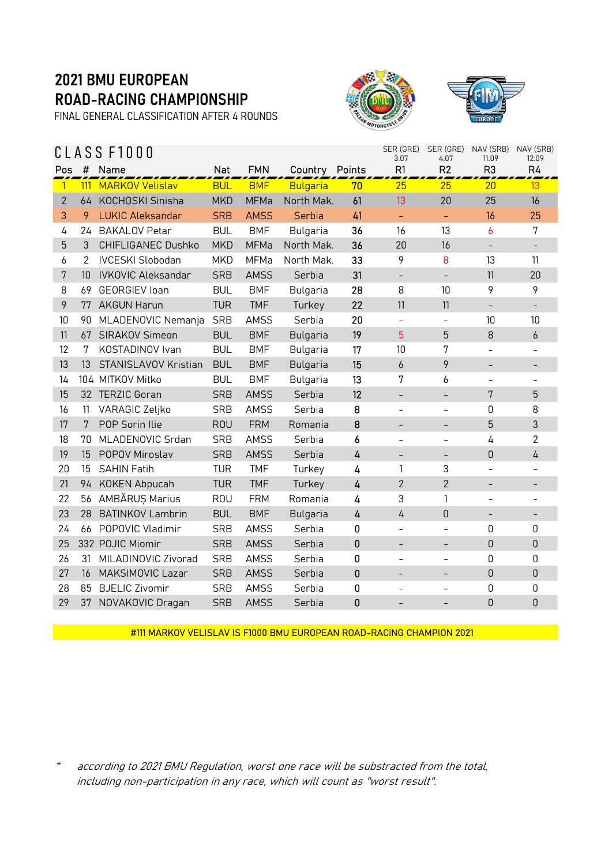FINAL GENERAL CLASSIFICATION AFTER 4 ROUNDS





| CLASS F1000    |     |                           |            |             |                 |                |                          | SER (GRE)<br>4.07        | NAV (SRB)<br>11.09       | NAV (SRB)<br>12.09       |
|----------------|-----|---------------------------|------------|-------------|-----------------|----------------|--------------------------|--------------------------|--------------------------|--------------------------|
| Pos            | #   | Name                      | <b>Nat</b> | <b>FMN</b>  | Country         | Points         | R1                       | R <sub>2</sub>           | R <sub>3</sub>           | R4                       |
| $\mathbf{1}$   | 111 | <b>MARKOV Velislav</b>    | <b>BUL</b> | <b>BMF</b>  | <b>Bulgaria</b> | 70             | 25                       | 25                       | 20                       | 13                       |
| $\overline{2}$ | 64  | KOCHOSKI Sinisha          | <b>MKD</b> | <b>MFMa</b> | North Mak.      | 61             | 13                       | 20                       | 25                       | 16                       |
| 3              | 9   | <b>LUKIC Aleksandar</b>   | <b>SRB</b> | <b>AMSS</b> | Serbia          | 41             | $\Box$                   | $\equiv$                 | 16                       | 25                       |
| 4              | 24  | <b>BAKALOV Petar</b>      | <b>BUL</b> | <b>BMF</b>  | Bulgaria        | 36             | 16                       | 13                       | 6                        | 7                        |
| 5              | 3   | CHIFLIGANEC Dushko        | <b>MKD</b> | <b>MFMa</b> | North Mak.      | 36             | 20                       | 16                       | $\overline{\phantom{a}}$ | $\overline{\phantom{a}}$ |
| 6              | 2   | <b>IVCESKI Slobodan</b>   | <b>MKD</b> | MFMa        | North Mak.      | 33             | 9                        | 8                        | 13                       | 11                       |
| 7              | 10  | <b>IVKOVIC Aleksandar</b> | <b>SRB</b> | <b>AMSS</b> | Serbia          | 31             | $\overline{\phantom{0}}$ | $\overline{\phantom{a}}$ | 11                       | 20                       |
| 8              | 69  | <b>GEORGIEV loan</b>      | <b>BUL</b> | <b>BMF</b>  | Bulgaria        | 28             | 8                        | 10                       | 9                        | 9                        |
| 9              | 77  | <b>AKGUN Harun</b>        | <b>TUR</b> | <b>TMF</b>  | Turkey          | 22             | 11                       | 11                       | $\overline{\phantom{a}}$ | $\overline{\phantom{0}}$ |
| 10             | 90  | MLADENOVIC Nemanja        | <b>SRB</b> | <b>AMSS</b> | Serbia          | 20             | $\equiv$                 | $\qquad \qquad -$        | 10                       | 10                       |
| 11             | 67  | SIRAKOV Simeon            | <b>BUL</b> | <b>BMF</b>  | <b>Bulgaria</b> | 19             | 5                        | 5                        | 8                        | 6                        |
| 12             | 7   | KOSTADINOV Ivan           | <b>BUL</b> | <b>BMF</b>  | <b>Bulgaria</b> | 17             | 10                       | 7                        |                          |                          |
| 13             | 13  | STANISLAVOV Kristian      | <b>BUL</b> | <b>BMF</b>  | <b>Bulgaria</b> | 15             | 6                        | 9                        | $\overline{\phantom{a}}$ | -                        |
| 14             |     | 104 MITKOV Mitko          | <b>BUL</b> | <b>BMF</b>  | <b>Bulgaria</b> | 13             | 7                        | 6                        | $\overline{\phantom{a}}$ |                          |
| 15             |     | 32 TERZIC Goran           | <b>SRB</b> | <b>AMSS</b> | Serbia          | 12             | $\overline{\phantom{0}}$ | $\overline{\phantom{a}}$ | 7                        | 5                        |
| 16             | 11  | VARAGIC Zeljko            | <b>SRB</b> | <b>AMSS</b> | Serbia          | 8              | $\overline{\phantom{0}}$ |                          | 0                        | 8                        |
| 17             | 7   | POP Sorin Ilie            | <b>ROU</b> | <b>FRM</b>  | Romania         | 8              | $\overline{\phantom{a}}$ | $\overline{\phantom{a}}$ | 5                        | 3                        |
| 18             | 70  | MLADENOVIC Srdan          | <b>SRB</b> | <b>AMSS</b> | Serbia          | 6              | $\overline{\phantom{a}}$ | $\overline{\phantom{a}}$ | 4                        | $\overline{2}$           |
| 19             | 15  | P0P0V Miroslav            | <b>SRB</b> | <b>AMSS</b> | Serbia          | $\overline{4}$ | $\overline{\phantom{a}}$ | $\overline{\phantom{a}}$ | $\theta$                 | $\overline{4}$           |
| 20             | 15  | <b>SAHIN Fatih</b>        | <b>TUR</b> | <b>TMF</b>  | Turkey          | 4              | 1                        | 3                        | $\overline{\phantom{a}}$ |                          |
| 21             | 94  | <b>KOKEN Abpucah</b>      | <b>TUR</b> | <b>TMF</b>  | Turkey          | $\overline{4}$ | $\overline{2}$           | $\overline{2}$           | -                        | -                        |
| 22             | 56  | AMBĂRUS Marius            | <b>ROU</b> | <b>FRM</b>  | Romania         | 4              | 3                        | 1                        |                          |                          |
| 23             | 28  | <b>BATINKOV Lambrin</b>   | <b>BUL</b> | <b>BMF</b>  | <b>Bulgaria</b> | $\overline{4}$ | 4                        | $\overline{0}$           | $\overline{\phantom{a}}$ | -                        |
| 24             | 66  | POPOVIC Vladimir          | <b>SRB</b> | <b>AMSS</b> | Serbia          | 0              | $\equiv$                 | $\overline{\phantom{0}}$ | 0                        | 0                        |
| 25             |     | 332 POJIC Miomir          | <b>SRB</b> | <b>AMSS</b> | Serbia          | $\pmb{0}$      | $\overline{\phantom{a}}$ | $\overline{\phantom{a}}$ | $\theta$                 | 0                        |
| 26             | 31  | MILADINOVIC Zivorad       | <b>SRB</b> | <b>AMSS</b> | Serbia          | $\mathbf 0$    | $\qquad \qquad -$        |                          | 0                        | 0                        |
| 27             | 16  | <b>MAKSIMOVIC Lazar</b>   | <b>SRB</b> | <b>AMSS</b> | Serbia          | $\mathbf 0$    | $\overline{\phantom{0}}$ | $\overline{\phantom{0}}$ | $\theta$                 | $\mathsf 0$              |
| 28             | 85  | <b>BJELIC Zivomir</b>     | <b>SRB</b> | <b>AMSS</b> | Serbia          | 0              | $\overline{\phantom{0}}$ |                          | 0                        | 0                        |
| 29             | 37  | NOVAKOVIC Dragan          | <b>SRB</b> | <b>AMSS</b> | Serbia          | $\mathbf 0$    |                          |                          | 0                        | 0                        |

#111 MARKOV VELISLAV IS F1000 BMU EUROPEAN ROAD-RACING CHAMPION 2021

\* according to 2021 BMU Regulation, worst one race will be substracted from the total, including non-participation in any race, which will count as "worst result".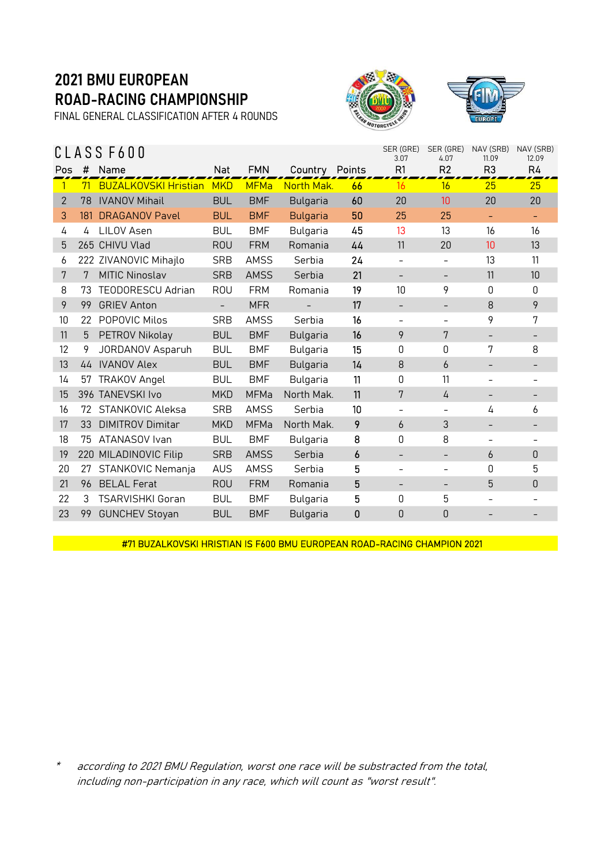FINAL GENERAL CLASSIFICATION AFTER 4 ROUNDS





|                |     | CLASS F600                  |                          | SER (GRE)<br>3.07 | SER (GRE)<br>4.07 | NAV (SRB)<br>11.09 | NAV (SRB)<br>12.09       |                          |                   |                          |
|----------------|-----|-----------------------------|--------------------------|-------------------|-------------------|--------------------|--------------------------|--------------------------|-------------------|--------------------------|
| Pos            | #   | Name                        | Nat                      | <b>FMN</b>        | Country Points    |                    | R1                       | R2                       | R <sub>3</sub>    | R4                       |
|                | 71  | <b>BUZALKOVSKI Hristian</b> | <b>MKD</b>               | <b>MFMa</b>       | North Mak.        | 66                 | 16                       | 16                       | 25                | 25                       |
| $\overline{2}$ | 78  | <b>IVANOV Mihail</b>        | <b>BUL</b>               | <b>BMF</b>        | <b>Bulgaria</b>   | 60                 | 20                       | 10                       | 20                | 20                       |
| 3              | 181 | <b>DRAGANOV Pavel</b>       | <b>BUL</b>               | <b>BMF</b>        | <b>Bulgaria</b>   | 50                 | 25                       | 25                       |                   |                          |
| 4              | 4   | LILOV Asen                  | <b>BUL</b>               | <b>BMF</b>        | Bulgaria          | 45                 | 13                       | 13                       | 16                | 16                       |
| 5              |     | 265 CHIVU Vlad              | <b>ROU</b>               | <b>FRM</b>        | Romania           | 44                 | 11                       | 20                       | 10                | 13                       |
| 6              |     | 222 ZIVANOVIC Mihajlo       | <b>SRB</b>               | AMSS              | Serbia            | 24                 | $\overline{\phantom{a}}$ | -                        | 13                | 11                       |
| 7              | 7   | <b>MITIC Ninoslav</b>       | <b>SRB</b>               | <b>AMSS</b>       | Serbia            | 21                 | $\overline{\phantom{a}}$ | -                        | 11                | 10                       |
| 8              | 73  | <b>TEODORESCU Adrian</b>    | <b>ROU</b>               | <b>FRM</b>        | Romania           | 19                 | 10                       | 9                        | 0                 | 0                        |
| 9              | 99  | <b>GRIEV Anton</b>          | $\overline{\phantom{a}}$ | <b>MFR</b>        |                   | 17                 | $\overline{\phantom{a}}$ | -                        | 8                 | 9                        |
| 10             | 22  | POPOVIC Milos               | <b>SRB</b>               | <b>AMSS</b>       | Serbia            | 16                 | $\overline{\phantom{a}}$ | -                        | 9                 | 7                        |
| 11             | 5   | PETROV Nikolay              | <b>BUL</b>               | <b>BMF</b>        | <b>Bulgaria</b>   | 16                 | 9                        | 7                        | $\qquad \qquad -$ | -                        |
| 12             | 9   | JORDANOV Asparuh            | <b>BUL</b>               | <b>BMF</b>        | <b>Bulgaria</b>   | 15                 | 0                        | 0                        | 7                 | 8                        |
| 13             | 44  | <b>IVANOV Alex</b>          | <b>BUL</b>               | <b>BMF</b>        | <b>Bulgaria</b>   | 14                 | 8                        | 6                        | $\qquad \qquad -$ | -                        |
| 14             | 57  | <b>TRAKOV Angel</b>         | <b>BUL</b>               | <b>BMF</b>        | <b>Bulgaria</b>   | 11                 | 0                        | 11                       |                   | $\overline{\phantom{0}}$ |
| 15             |     | 396 TANEVSKI Ivo            | <b>MKD</b>               | <b>MFMa</b>       | North Mak.        | 11                 | 7                        | 4                        | $\qquad \qquad -$ | -                        |
| 16             | 72  | STANKOVIC Aleksa            | <b>SRB</b>               | <b>AMSS</b>       | Serbia            | 10                 | $\overline{\phantom{a}}$ | -                        | 4                 | 6                        |
| 17             | 33  | <b>DIMITROV Dimitar</b>     | <b>MKD</b>               | <b>MFMa</b>       | North Mak.        | 9                  | 6                        | 3                        |                   | -                        |
| 18             | 75  | ATANASOV Ivan               | <b>BUL</b>               | <b>BMF</b>        | <b>Bulgaria</b>   | 8                  | 0                        | 8                        |                   |                          |
| 19             |     | 220 MILADINOVIC Filip       | <b>SRB</b>               | <b>AMSS</b>       | Serbia            | 6                  |                          |                          | 6                 | 0                        |
| 20             | 27  | STANKOVIC Nemanja           | <b>AUS</b>               | <b>AMSS</b>       | Serbia            | 5                  | $\overline{\phantom{a}}$ | $\overline{\phantom{0}}$ | $\Omega$          | 5                        |
| 21             | 96  | <b>BELAL Ferat</b>          | <b>ROU</b>               | <b>FRM</b>        | Romania           | 5                  |                          |                          | 5                 | $\theta$                 |
| 22             | 3   | TSARVISHKI Goran            | <b>BUL</b>               | <b>BMF</b>        | Bulgaria          | 5                  | 0                        | 5                        |                   |                          |
| 23             | 99  | <b>GUNCHEV Stoyan</b>       | <b>BUL</b>               | <b>BMF</b>        | <b>Bulgaria</b>   | 0                  | $\mathbf{0}$             | 0                        |                   |                          |

#71 BUZALKOVSKI HRISTIAN IS F600 BMU EUROPEAN ROAD-RACING CHAMPION 2021

\* according to 2021 BMU Regulation, worst one race will be substracted from the total, including non-participation in any race, which will count as "worst result".